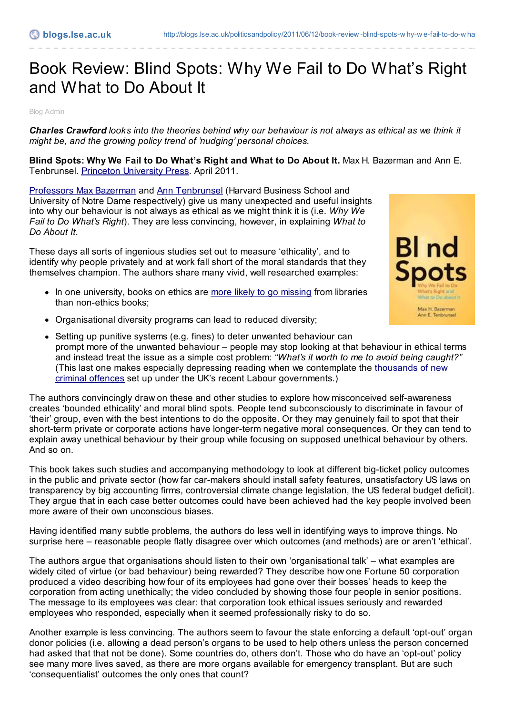## Book Review: Blind Spots: Why We Fail to Do What's Right and What to Do About It

Blog Admin

**Charles Crawford** looks into the theories behind why our behaviour is not always as ethical as we think it *might be, and the growing policy trend of 'nudging' personal choices.*

**Blind Spots: Why We Fail to Do What's Right and What to Do About It.** Max H. Bazerman and Ann E. Tenbrunsel. Princeton [University](http://press.princeton.edu/titles/9390.html) Press. April 2011.

[Professors](http://drfd.hbs.edu/fit/public/facultyInfo.do?facInfo=ovr&facId=6420) Max Bazerman and Ann [Tenbrunsel](http://business.nd.edu/anntenbrunsel/) (Harvard Business School and University of Notre Dame respectively) give us many unexpected and useful insights into why our behaviour is not always as ethical as we might think it is (i.e. *Why We Fail to Do What's Right*). They are less convincing, however, in explaining *What to Do About It*.

These days all sorts of ingenious studies set out to measure 'ethicality', and to identify why people privately and at work fall short of the moral standards that they themselves champion. The authors share many vivid, well researched examples:

- In one university, books on ethics are more likely to go [missing](http://www.guardian.co.uk/education/2010/dec/13/ethics-study-steal-books-moral) from libraries than non-ethics books;
- Organisational diversity programs can lead to reduced diversity;



 $\bullet$  Setting up punitive systems (e.g. fines) to deter unwanted behaviour can prompt more of the unwanted behaviour – people may stop looking at that behaviour in ethical terms and instead treat the issue as a simple cost problem: *"What's it worth to me to avoid being caught?"* (This last one makes especially depressing reading when we contemplate the thousands of new criminal offences set up under the UK's recent Labour [governments.\)](http://www.independent.co.uk/news/uk/politics/blairs-frenzied-law-making--a-new-offence-for-every-day-spent-in-office-412072.html)

The authors convincingly draw on these and other studies to explore how misconceived self-awareness creates 'bounded ethicality' and moral blind spots. People tend subconsciously to discriminate in favour of 'their' group, even with the best intentions to do the opposite. Or they may genuinely fail to spot that their short-term private or corporate actions have longer-term negative moral consequences. Or they can tend to explain away unethical behaviour by their group while focusing on supposed unethical behaviour by others. And so on.

This book takes such studies and accompanying methodology to look at different big-ticket policy outcomes in the public and private sector (how far car-makers should install safety features, unsatisfactory US laws on transparency by big accounting firms, controversial climate change legislation, the US federal budget deficit). They argue that in each case better outcomes could have been achieved had the key people involved been more aware of their own unconscious biases.

Having identified many subtle problems, the authors do less well in identifying ways to improve things. No surprise here – reasonable people flatly disagree over which outcomes (and methods) are or aren't 'ethical'.

The authors argue that organisations should listen to their own 'organisational talk' – what examples are widely cited of virtue (or bad behaviour) being rewarded? They describe how one Fortune 50 corporation produced a video describing how four of its employees had gone over their bosses' heads to keep the corporation from acting unethically; the video concluded by showing those four people in senior positions. The message to its employees was clear: that corporation took ethical issues seriously and rewarded employees who responded, especially when it seemed professionally risky to do so.

Another example is less convincing. The authors seem to favour the state enforcing a default 'opt-out' organ donor policies (i.e. allowing a dead person's organs to be used to help others unless the person concerned had asked that that not be done). Some countries do, others don't. Those who do have an 'opt-out' policy see many more lives saved, as there are more organs available for emergency transplant. But are such 'consequentialist' outcomes the only ones that count?